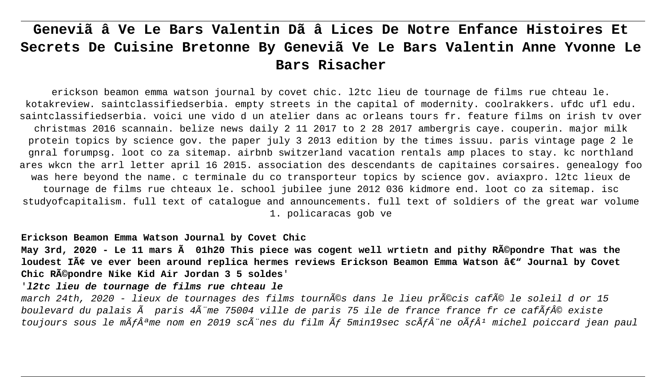# **Geneviã â Ve Le Bars Valentin Dã â Lices De Notre Enfance Histoires Et Secrets De Cuisine Bretonne By Geneviã Ve Le Bars Valentin Anne Yvonne Le Bars Risacher**

erickson beamon emma watson journal by covet chic. l2tc lieu de tournage de films rue chteau le. kotakreview. saintclassifiedserbia. empty streets in the capital of modernity. coolrakkers. ufdc ufl edu. saintclassifiedserbia. voici une vido d un atelier dans ac orleans tours fr. feature films on irish tv over christmas 2016 scannain. belize news daily 2 11 2017 to 2 28 2017 ambergris caye. couperin. major milk protein topics by science gov. the paper july 3 2013 edition by the times issuu. paris vintage page 2 le gnral forumpsg. loot co za sitemap. airbnb switzerland vacation rentals amp places to stay. kc northland ares wkcn the arrl letter april 16 2015. association des descendants de capitaines corsaires. genealogy foo was here beyond the name. c terminale du co transporteur topics by science gov. aviaxpro. l2tc lieux de tournage de films rue chteaux le. school jubilee june 2012 036 kidmore end. loot co za sitemap. isc studyofcapitalism. full text of catalogue and announcements. full text of soldiers of the great war volume 1. policaracas gob ve

**Erickson Beamon Emma Watson Journal by Covet Chic**

**May 3rd, 2020 - Le 11 mars à 01h20 This piece was cogent well wrtietn and pithy Répondre That was the** loudest Iâ ve ever been around replica hermes reviews Erickson Beamon Emma Watson â€<sup>w</sup> Journal by Covet **Chic Répondre Nike Kid Air Jordan 3 5 soldes**'

'**l2tc lieu de tournage de films rue chteau le**

march 24th, 2020 - lieux de tournages des films tournés dans le lieu précis café le soleil d or 15 boulevard du palais  $\tilde{A}$  paris  $4\tilde{A}$ "me 75004 ville de paris 75 ile de france france fr ce caf $\tilde{A}f\hat{A}\circ$  existe toujours sous le m $\tilde{A}f\hat{A}^{\mathsf{a}}$ me nom en 2019 sc $\tilde{A}^*$ nes du film  $\tilde{A}f$  5min19sec sc $\tilde{A}f\hat{A}^*$ ne o $\tilde{A}f\hat{A}^1$  michel poiccard jean paul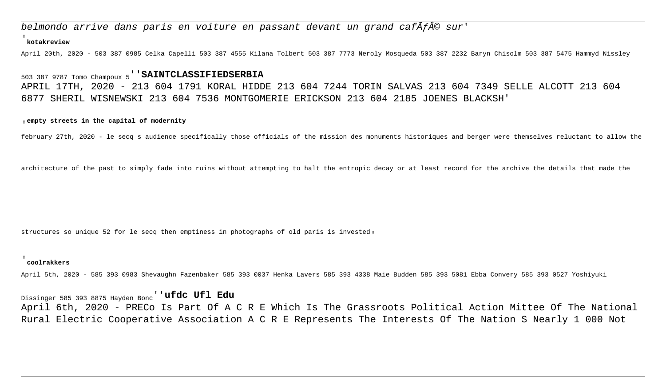# belmondo arrive dans paris en voiture en passant devant un grand caf $\tilde{A}f\hat{A}\circ$  sur'

#### '**kotakreview**

April 20th, 2020 - 503 387 0985 Celka Capelli 503 387 4555 Kilana Tolbert 503 387 7773 Neroly Mosqueda 503 387 2232 Baryn Chisolm 503 387 5475 Hammyd Nissley

# 503 387 9787 Tomo Champoux 5''**SAINTCLASSIFIEDSERBIA** APRIL 17TH, 2020 - 213 604 1791 KORAL HIDDE 213 604 7244 TORIN SALVAS 213 604 7349 SELLE ALCOTT 213 604 6877 SHERIL WISNEWSKI 213 604 7536 MONTGOMERIE ERICKSON 213 604 2185 JOENES BLACKSH'

#### '**empty streets in the capital of modernity**

february 27th, 2020 - le secq s audience specifically those officials of the mission des monuments historiques and berger were themselves reluctant to allow the

architecture of the past to simply fade into ruins without attempting to halt the entropic decay or at least record for the archive the details that made the

structures so unique 52 for le secq then emptiness in photographs of old paris is invested'

#### '**coolrakkers**

April 5th, 2020 - 585 393 0983 Shevaughn Fazenbaker 585 393 0037 Henka Lavers 585 393 4338 Maie Budden 585 393 5081 Ebba Convery 585 393 0527 Yoshiyuki

Dissinger 585 393 8875 Hayden Bonc''**ufdc Ufl Edu** April 6th, 2020 - PRECo Is Part Of A C R E Which Is The Grassroots Political Action Mittee Of The National Rural Electric Cooperative Association A C R E Represents The Interests Of The Nation S Nearly 1 000 Not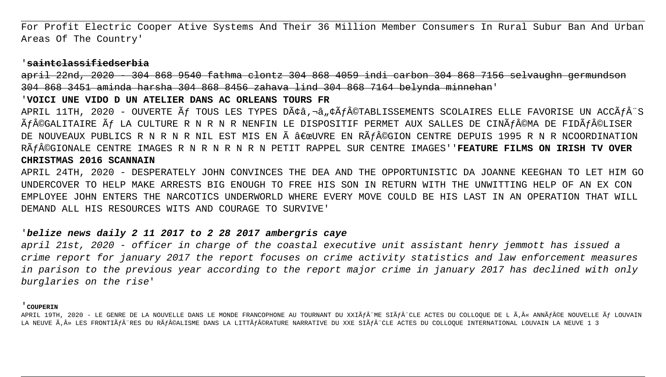For Profit Electric Cooper Ative Systems And Their 36 Million Member Consumers In Rural Subur Ban And Urban Areas Of The Country'

## 'saintclassifiedserbia

april 22nd, 2020 304 868 9540 fathma clontz 304 868 4059 indi carbon 304 868 7156 selvaughn germundson 304 868 3451 aminda harsha 304 868 8456 zahava lind 304 868 7164 belynda minnehan'

### VOICI UNE VIDO D UN ATELIER DANS AC ORLEANS TOURS FR

APRIL 11TH, 2020 - OUVERTE Ãf TOUS LES TYPES Dââ,¬â"¢Ãf©TABLISSEMENTS SCOLAIRES ELLE FAVORISE UN ACCÃfÂ"S à f©GALITAIRE à f LA CULTURE R N R N R NENFIN LE DISPOSITIF PERMET AUX SALLES DE CINà f©MA DE FIDà f©LISER DE NOUVEAUX PUBLICS R N R N R NIL EST MIS EN à "UVRE EN Rà f©GION CENTRE DEPUIS 1995 R N R NCOORDINATION Rà F©GIONALE CENTRE IMAGES R N R N R N R N PETIT RAPPEL SUR CENTRE IMAGES' 'FEATURE FILMS ON IRISH TV OVER CHRISTMAS 2016 SCANNAIN

APRIL 24TH, 2020 - DESPERATELY JOHN CONVINCES THE DEA AND THE OPPORTUNISTIC DA JOANNE KEEGHAN TO LET HIM GO UNDERCOVER TO HELP MAKE ARRESTS BIG ENOUGH TO FREE HIS SON IN RETURN WITH THE UNWITTING HELP OF AN EX CON EMPLOYEE JOHN ENTERS THE NARCOTICS UNDERWORLD WHERE EVERY MOVE COULD BE HIS LAST IN AN OPERATION THAT WILL DEMAND ALL HIS RESOURCES WITS AND COURAGE TO SURVIVE'

# belize news daily 2 11 2017 to 2 28 2017 ambergris caye

april 21st, 2020 - officer in charge of the coastal executive unit assistant henry jemmott has issued a crime report for january 2017 the report focuses on crime activity statistics and law enforcement measures in parison to the previous year according to the report major crime in january 2017 has declined with only burglaries on the rise'

#### COUPERIN

APRIL 19TH, 2020 - LE GENRE DE LA NOUVELLE DANS LE MONDE FRANCOPHONE AU TOURNANT DU XXIÃfÂ"ME SIÃfÂ"CLE ACTES DU COLLOOUE DE L Ã,« ANNÃf©E NOUVELLE Ãf LOUVAIN LA NEUVE Ã,» LES FRONTIÃf RES DU RÃF©ALISME DANS LA LITTÃF©RATURE NARRATIVE DU XXE SIÃFÂ CLE ACTES DU COLLOQUE INTERNATIONAL LOUVAIN LA NEUVE 1 3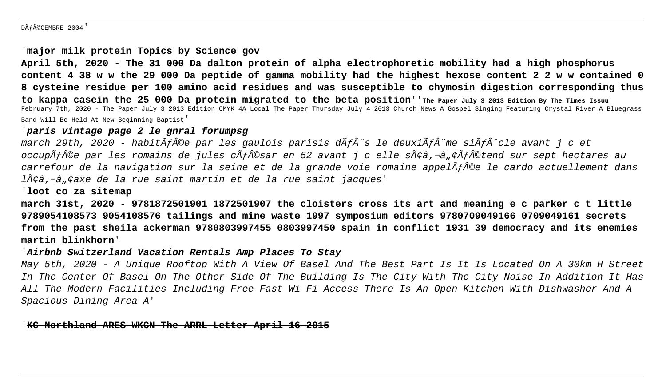### DéCEMBRE 2004'

## '**major milk protein Topics by Science gov**

**April 5th, 2020 - The 31 000 Da dalton protein of alpha electrophoretic mobility had a high phosphorus content 4 38 w w the 29 000 Da peptide of gamma mobility had the highest hexose content 2 2 w w contained 0 8 cysteine residue per 100 amino acid residues and was susceptible to chymosin digestion corresponding thus to kappa casein the 25 000 Da protein migrated to the beta position**''**The Paper July 3 2013 Edition By The Times Issuu** February 7th, 2020 - The Paper July 3 2013 Edition CMYK 4A Local The Paper Thursday July 4 2013 Church News A Gospel Singing Featuring Crystal River A Bluegrass Band Will Be Held At New Beginning Baptist'

## '**paris vintage page 2 le gnral forumpsg**

march 29th, 2020 - habit $\tilde{A}f\hat{A}$ ©e par les gaulois parisis d $\tilde{A}f\hat{A}$ "s le deuxi $\tilde{A}f\hat{A}$ "me si $\tilde{A}f\hat{A}$ "cle avant j c et occupÃf©e par les romains de jules cÃf©sar en 52 avant j c elle sââ,¬â"¢Ãf©tend sur sept hectares au carrefour de la navigation sur la seine et de la grande voie romaine appel $\widetilde{A}$ f $\widehat{A}$ ©e le cardo actuellement dans lââ,¬â"¢axe de la rue saint martin et de la rue saint jacques'

## '**loot co za sitemap**

**march 31st, 2020 - 9781872501901 1872501907 the cloisters cross its art and meaning e c parker c t little 9789054108573 9054108576 tailings and mine waste 1997 symposium editors 9780709049166 0709049161 secrets from the past sheila ackerman 9780803997455 0803997450 spain in conflict 1931 39 democracy and its enemies martin blinkhorn**'

## '**Airbnb Switzerland Vacation Rentals Amp Places To Stay**

May 5th, 2020 - A Unique Rooftop With A View Of Basel And The Best Part Is It Is Located On A 30km H Street In The Center Of Basel On The Other Side Of The Building Is The City With The City Noise In Addition It Has All The Modern Facilities Including Free Fast Wi Fi Access There Is An Open Kitchen With Dishwasher And A Spacious Dining Area A'

## '**KC Northland ARES WKCN The ARRL Letter April 16 2015**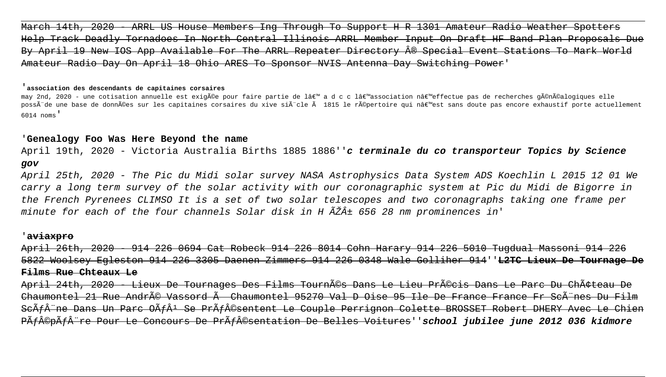$\overline{A}$  2020 - ARRL US House Members Ing Through To Support H R 1301 Amateur Radio Help Track Deadly Tornadoes In North Central Illinois ARRL Member Input On Draft HF Band Plan Proposals Due By April 19 New IOS App Available For The ARRL Repeater Directory ® Special Event Stations To Mark World Amateur Radio Day On April 18 Ohio ARES To Sponsor NVIS Antenna Day Switching Power'

#### '**association des descendants de capitaines corsaires**

may 2nd, 2020 - une cotisation annuelle est exigée pour faire partie de l' a d c c l'association n'effectue pas de recherches généalogiques elle possà de une base de données sur les capitaines corsaires du xive sià cle à 1815 le répertoire qui n'est sans doute pas encore exhaustif porte actuellement 6014 noms'

## '**Genealogy Foo Was Here Beyond the name**

April 19th, 2020 - Victoria Australia Births 1885 1886''**c terminale du co transporteur Topics by Science gov**

April 25th, 2020 - The Pic du Midi solar survey NASA Astrophysics Data System ADS Koechlin L 2015 12 01 We carry a long term survey of the solar activity with our coronagraphic system at Pic du Midi de Bigorre in the French Pyrenees CLIMSO It is a set of two solar telescopes and two coronagraphs taking one frame per minute for each of the four channels Solar disk in H  $\widetilde{A}\widetilde{Z}\widehat{A}$ ± 656 28 nm prominences in'

## '**aviaxpro**

April 26th, 2020 - 914 226 0694 Cat Robeck 914 226 8014 Cohn Harary 914 226 5010 Tugdual Massoni 914 226 5822 Woolsey Egleston 914 226 3305 Daenen Zimmers 914 226 0348 Wale Golliher 914''**L2TC Lieux De Tournage De Films Rue Chteaux Le**

April 24th, 2020 - Lieux De Tournages Des Films Tournés Dans Le Lieu Précis Dans Le Parc Du ChÃ  $Chaumontel$  21 Rue AndrÃ $\odot$  Vassord  $\widetilde{A}$  Chaumontel 95270 Val D Oise 95 Ile De France France Fr Sc $\widetilde{A}$ "nes ScÃf ne Dans Un Parc OÃfÂ<sup>1</sup> Se PrÃf©sentent Le Couple Perrignon Colette BROSSET Robert DHERY Avec Le Chien P<del>Ãf©pÃf re Pour Le Concours De PrÃf©sentation De Belles Voitures''school jubilee june 2012 036 kidmore</del>